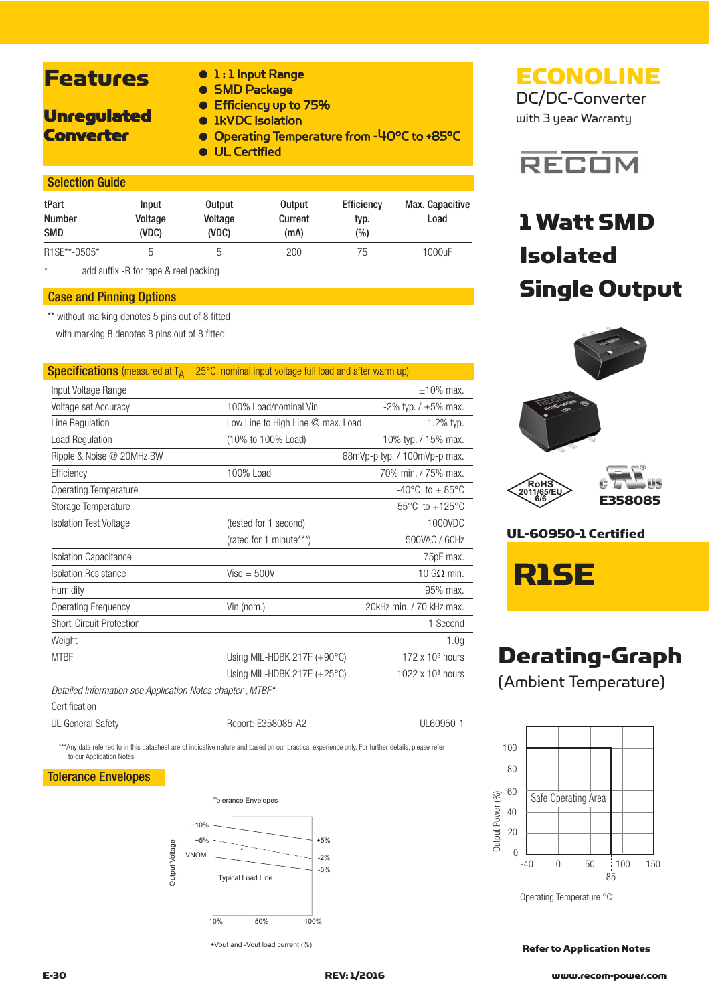## **Features**

- 1:1 Input Range
- SMD Package
- Efficiency up to 75%

### Unregulated **Converter**

- 1kVDC Isolation
- - Operating Temperature from -40°C to +85°C
	- UL Certified

### Selection Guide

| tPart<br><b>Number</b><br><b>SMD</b> | <b>Input</b><br>Voltage<br>(VDC) | <b>Output</b><br>Voltage<br>(VDC) | <b>Output</b><br>Current<br>(mA) | <b>Efficiency</b><br>typ.<br>$\frac{6}{6}$ | Max. Capacitive<br>Load |
|--------------------------------------|----------------------------------|-----------------------------------|----------------------------------|--------------------------------------------|-------------------------|
| R <sub>1</sub> SE**-0505*            | b                                | b                                 | 200                              | 75                                         | 1000µF                  |

add suffix -R for tape & reel packing

### Case and Pinning Options

\*\* without marking denotes 5 pins out of 8 fitted

with marking 8 denotes 8 pins out of 8 fitted

### **Specifications** (measured at  $T_A = 25^{\circ}$ C, nominal input voltage full load and after warm up)

| Input Voltage Range                                       |                                      | $+10\%$ max.                        |
|-----------------------------------------------------------|--------------------------------------|-------------------------------------|
| Voltage set Accuracy                                      | 100% Load/nominal Vin                | $-2\%$ typ. / $\pm 5\%$ max.        |
| Line Regulation                                           | Low Line to High Line @ max. Load    | 1.2% typ.                           |
| Load Regulation                                           | (10% to 100% Load)                   | 10% typ. / 15% max.                 |
| Ripple & Noise @ 20MHz BW                                 |                                      | 68mVp-p typ. / 100mVp-p max.        |
| Efficiency                                                | 100% Load                            | 70% min. / 75% max.                 |
| Operating Temperature                                     |                                      | $-40^{\circ}$ C to $+85^{\circ}$ C  |
| Storage Temperature                                       |                                      | $-55^{\circ}$ C to $+125^{\circ}$ C |
| <b>Isolation Test Voltage</b>                             | (tested for 1 second)                | 1000VDC                             |
|                                                           | (rated for 1 minute***)              | 500VAC / 60Hz                       |
| <b>Isolation Capacitance</b>                              |                                      | 75pF max.                           |
| <b>Isolation Resistance</b>                               | $Viso = 500V$                        | 10 $G\Omega$ min.                   |
| Humidity                                                  |                                      | 95% max.                            |
| <b>Operating Frequency</b>                                | Vin (nom.)                           | 20kHz min. / 70 kHz max.            |
| <b>Short-Circuit Protection</b>                           |                                      | 1 Second                            |
| Weight                                                    |                                      | 1.0 <sub>q</sub>                    |
| <b>MTBF</b>                                               | Using MIL-HDBK 217F $(+90^{\circ}C)$ | $172 \times 10^3$ hours             |
|                                                           | Using MIL-HDBK 217F $(+25^{\circ}C)$ | $1022 \times 103$ hours             |
| Detailed Information see Application Notes chapter "MTBF" |                                      |                                     |
| Certification                                             |                                      |                                     |

UL General Safety **Report: E358085-A2** UL60950-1

\*\*\*Any data referred to in this datasheet are of indicative nature and based on our practical experience only. For further details, please refer to our Application Notes.

### Tolerance Envelopes



+Vout and -Vout load current (%)

with 3 year Warranty



## 1 Watt SMD Isolated Single Output



UL-60950-1 Certified

R1SE

## Derating-Graph (Ambient Temperature)



Operating Temperature °C

Refer to Application Notes